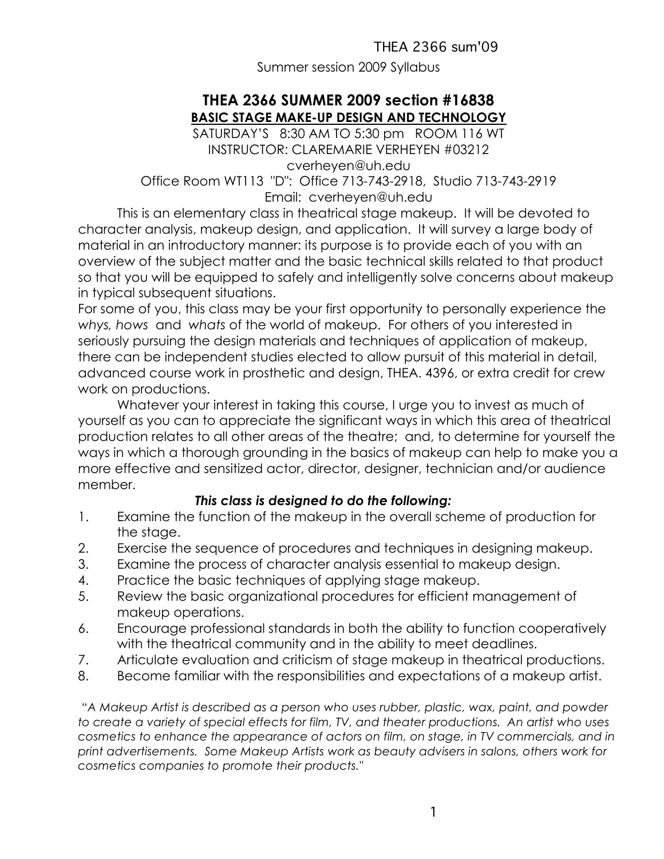Summer session 2009 Syllabus

## **THEA 2366 SUMMER 2009 section #16838 BASIC STAGE MAKE-UP DESIGN AND TECHNOLOGY**

SATURDAY'S 8:30 AM TO 5:30 pm ROOM 116 WT INSTRUCTOR: CLAREMARIE VERHEYEN #03212 cverheyen@uh.edu

Office Room WT113 "D": Office 713-743-2918, Studio 713-743-2919 Email: cverheyen@uh.edu

This is an elementary class in theatrical stage makeup. It will be devoted to character analysis, makeup design, and application. It will survey a large body of material in an introductory manner: its purpose is to provide each of you with an overview of the subject matter and the basic technical skills related to that product so that you will be equipped to safely and intelligently solve concerns about makeup in typical subsequent situations.

For some of you, this class may be your first opportunity to personally experience the *whys, hows* and *whats* of the world of makeup. For others of you interested in seriously pursuing the design materials and techniques of application of makeup, there can be independent studies elected to allow pursuit of this material in detail, advanced course work in prosthetic and design, THEA. 4396, or extra credit for crew work on productions.

Whatever your interest in taking this course, I urge you to invest as much of yourself as you can to appreciate the significant ways in which this area of theatrical production relates to all other areas of the theatre; and, to determine for yourself the ways in which a thorough grounding in the basics of makeup can help to make you a more effective and sensitized actor, director, designer, technician and/or audience member.

#### *This class is designed to do the following:*

- 1. Examine the function of the makeup in the overall scheme of production for the stage.
- 2. Exercise the sequence of procedures and techniques in designing makeup.
- 3. Examine the process of character analysis essential to makeup design.
- 4. Practice the basic techniques of applying stage makeup.
- 5. Review the basic organizational procedures for efficient management of makeup operations.
- 6. Encourage professional standards in both the ability to function cooperatively with the theatrical community and in the ability to meet deadlines.
- 7. Articulate evaluation and criticism of stage makeup in theatrical productions.
- 8. Become familiar with the responsibilities and expectations of a makeup artist.

"*A Makeup Artist is described as a person who uses rubber, plastic, wax, paint, and powder to create a variety of special effects for film, TV, and theater productions. An artist who uses cosmetics to enhance the appearance of actors on film, on stage, in TV commercials, and in print advertisements. Some Makeup Artists work as beauty advisers in salons, others work for cosmetics companies to promote their products."*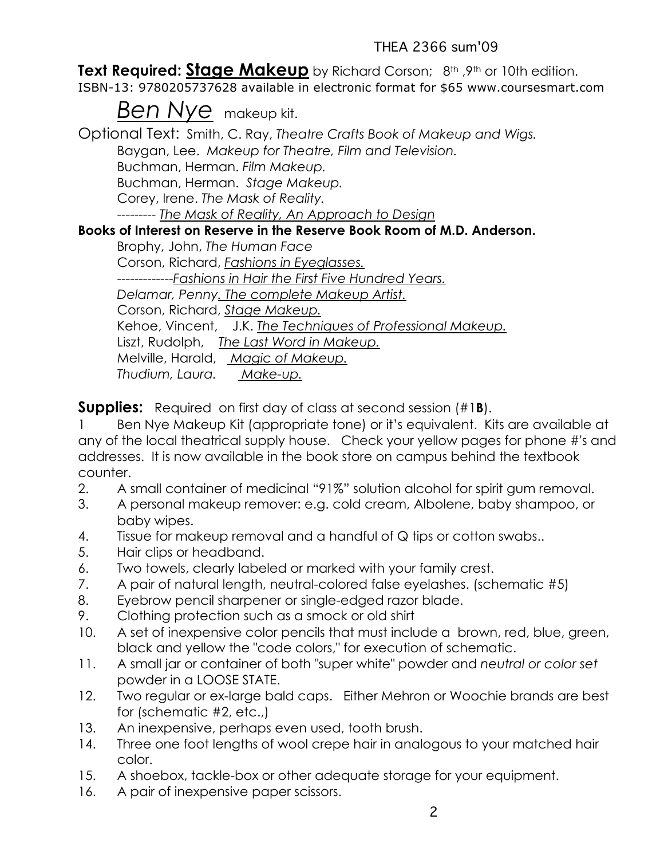**Text Required: Stage Makeup** by Richard Corson; 8th ,9th or 10th edition.

ISBN-13: 9780205737628 available in electronic format for \$65 www.coursesmart.com

*Ben Nye* makeup kit.

Optional Text: Smith, C. Ray, *Theatre Crafts Book of Makeup and Wigs.* Baygan, Lee. *Makeup for Theatre, Film and Television.* Buchman, Herman. *Film Makeup.* Buchman, Herman. *Stage Makeup.* Corey, Irene. *The Mask of Reality.* --------- *The Mask of Reality, An Approach to Design* **Books of Interest on Reserve in the Reserve Book Room of M.D. Anderson.** Brophy, John, *The Human Face* Corson, Richard, *Fashions in Eyeglasses.* -------------*Fashions in Hair the First Five Hundred Years. Delamar, Penny. The complete Makeup Artist.* Corson, Richard, *Stage Makeup.* Kehoe, Vincent, J.K. *The Techniques of Professional Makeup.* Liszt, Rudolph, *The Last Word in Makeup.* Melville, Harald, *Magic of Makeup.*

*Thudium, Laura. Make-up.*

**Supplies:** Required on first day of class at second session (#1**B**).

1 Ben Nye Makeup Kit (appropriate tone) or it's equivalent. Kits are available at any of the local theatrical supply house. Check your yellow pages for phone #'s and addresses. It is now available in the book store on campus behind the textbook counter.

- 2. A small container of medicinal "91%" solution alcohol for spirit gum removal.
- 3. A personal makeup remover: e.g. cold cream, Albolene, baby shampoo, or baby wipes.
- 4. Tissue for makeup removal and a handful of Q tips or cotton swabs..
- 5. Hair clips or headband.
- 6. Two towels, clearly labeled or marked with your family crest.
- 7. A pair of natural length, neutral-colored false eyelashes. (schematic #5)
- 8. Eyebrow pencil sharpener or single-edged razor blade.
- 9. Clothing protection such as a smock or old shirt
- 10. A set of inexpensive color pencils that must include a brown, red, blue, green, black and yellow the "code colors," for execution of schematic.
- 11. A small jar or container of both "super white" powder and *neutral or color set* powder in a LOOSE STATE.
- 12. Two regular or ex-large bald caps. Either Mehron or Woochie brands are best for (schematic #2, etc.,)
- 13. An inexpensive, perhaps even used, tooth brush.
- 14. Three one foot lengths of wool crepe hair in analogous to your matched hair color.
- 15. A shoebox, tackle-box or other adequate storage for your equipment.
- 16. A pair of inexpensive paper scissors.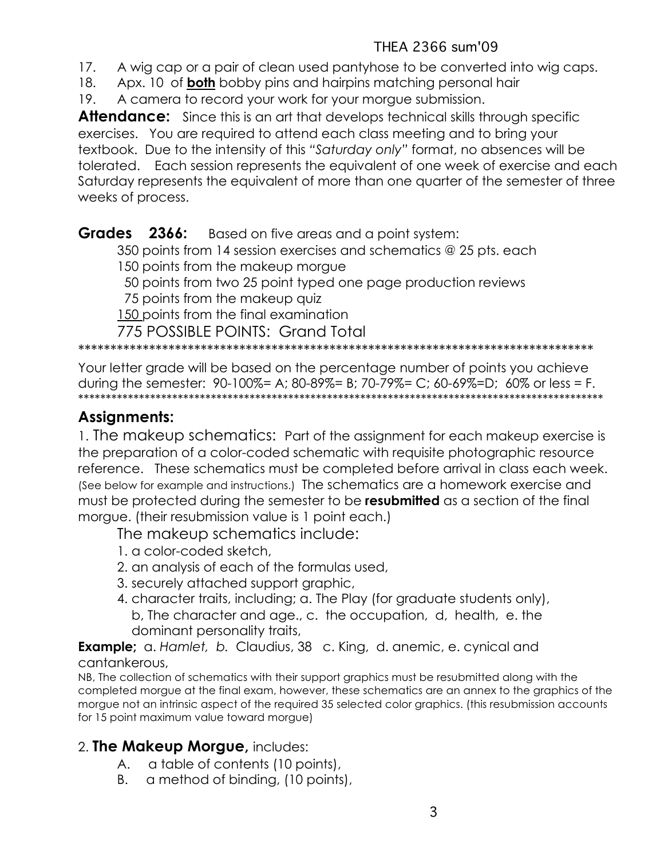- 17. A wig cap or a pair of clean used pantyhose to be converted into wig caps.
- 18. Apx. 10 of **both** bobby pins and hairpins matching personal hair
- 19. A camera to record your work for your morgue submission.

**Attendance:** Since this is an art that develops technical skills through specific exercises. You are required to attend each class meeting and to bring your textbook. Due to the intensity of this *"Saturday only"* format, no absences will be tolerated. Each session represents the equivalent of one week of exercise and each Saturday represents the equivalent of more than one quarter of the semester of three weeks of process.

**Grades 2366:** Based on five areas and a point system: 350 points from 14 session exercises and schematics @ 25 pts. each 150 points from the makeup morgue 50 points from two 25 point typed one page production reviews 75 points from the makeup quiz 150 points from the final examination

775 POSSIBLE POINTS: Grand Total

\*\*\*\*\*\*\*\*\*\*\*\*\*\*\*\*\*\*\*\*\*\*\*\*\*\*\*\*\*\*\*\*\*\*\*\*\*\*\*\*\*\*\*\*\*\*\*\*\*\*\*\*\*\*\*\*\*\*\*\*\*\*\*\*\*\*\*\*\*\*\*\*\*\*\*\*\*\*\*\*

Your letter grade will be based on the percentage number of points you achieve during the semester: 90-100%= A; 80-89%= B; 70-79%= C; 60-69%=D; 60% or less = F. \*\*\*\*\*\*\*\*\*\*\*\*\*\*\*\*\*\*\*\*\*\*\*\*\*\*\*\*\*\*\*\*\*\*\*\*\*\*\*\*\*\*\*\*\*\*\*\*\*\*\*\*\*\*\*\*\*\*\*\*\*\*\*\*\*\*\*\*\*\*\*\*\*\*\*\*\*\*\*\*\*\*\*\*\*\*\*\*\*\*\*\*\*\*\*

# **Assignments:**

1. The makeup schematics: Part of the assignment for each makeup exercise is the preparation of a color-coded schematic with requisite photographic resource reference. These schematics must be completed before arrival in class each week. (See below for example and instructions.) The schematics are a homework exercise and must be protected during the semester to be **resubmitted** as a section of the final morgue. (their resubmission value is 1 point each.)

The makeup schematics include:

- 1. a color-coded sketch,
- 2. an analysis of each of the formulas used,
- 3. securely attached support graphic,
- 4. character traits, including; a. The Play (for graduate students only), b, The character and age., c. the occupation, d, health, e. the dominant personality traits,

**Example;** a. *Hamlet, b.* Claudius, 38 c. King, d. anemic, e. cynical and cantankerous,

NB, The collection of schematics with their support graphics must be resubmitted along with the completed morgue at the final exam, however, these schematics are an annex to the graphics of the morgue not an intrinsic aspect of the required 35 selected color graphics. (this resubmission accounts for 15 point maximum value toward morgue)

# 2. **The Makeup Morgue,** includes:

- A. a table of contents (10 points),
- B. a method of binding, (10 points),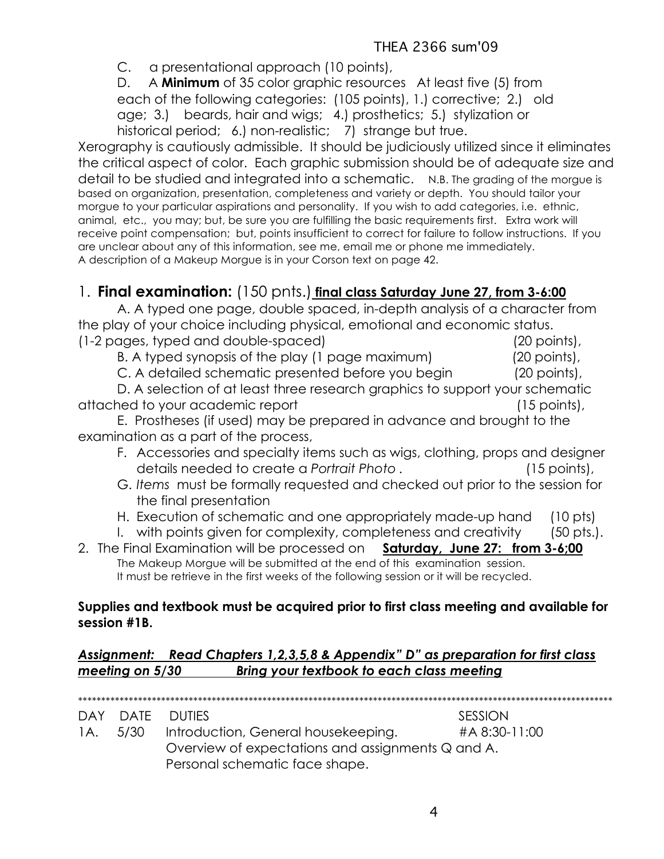C. a presentational approach (10 points),

D. A **Minimum** of 35 color graphic resources At least five (5) from each of the following categories: (105 points), 1.) corrective; 2.) old age; 3.) beards, hair and wigs; 4.) prosthetics; 5.) stylization or historical period; 6.) non-realistic; 7) strange but true.

Xerography is cautiously admissible. It should be judiciously utilized since it eliminates the critical aspect of color. Each graphic submission should be of adequate size and detail to be studied and integrated into a schematic. N.B. The grading of the morgue is based on organization, presentation, completeness and variety or depth. You should tailor your morgue to your particular aspirations and personality. If you wish to add categories, i.e. ethnic, animal, etc., you may; but, be sure you are fulfilling the basic requirements first. Extra work will receive point compensation; but, points insufficient to correct for failure to follow instructions. If you are unclear about any of this information, see me, email me or phone me immediately. A description of a Makeup Morgue is in your Corson text on page 42.

# 1. **Final examination:** (150 pnts.) **final class Saturday June 27, from 3-6:00**

A. A typed one page, double spaced, in-depth analysis of a character from the play of your choice including physical, emotional and economic status. (1-2 pages, typed and double-spaced) (20 points),

B. A typed synopsis of the play (1 page maximum) (20 points),

C. A detailed schematic presented before you begin (20 points),

D. A selection of at least three research graphics to support your schematic attached to your academic report (15 points),

E. Prostheses (if used) may be prepared in advance and brought to the examination as a part of the process,

- F. Accessories and specialty items such as wigs, clothing, props and designer details needed to create a *Portrait Photo .* (15 points),
- G. *Items* must be formally requested and checked out prior to the session for the final presentation
- H. Execution of schematic and one appropriately made-up hand (10 pts)
- I. with points given for complexity, completeness and creativity (50 pts.).
- 2. The Final Examination will be processed on **Saturday, June 27: from 3-6;00**  The Makeup Morgue will be submitted at the end of this examination session. It must be retrieve in the first weeks of the following session or it will be recycled.

#### **Supplies and textbook must be acquired prior to first class meeting and available for session #1B.**

#### *Assignment: Read Chapters 1,2,3,5,8 & Appendix" D" as preparation for first class meeting on 5/30 Bring your textbook to each class meeting*

\*\*\*\*\*\*\*\*\*\*\*\*\*\*\*\*\*\*\*\*\*\*\*\*\*\*\*\*\*\*\*\*\*\*\*\*\*\*\*\*\*\*\*\*\*\*\*\*\*\*\*\*\*\*\*\*\*\*\*\*\*\*\*\*\*\*\*\*\*\*\*\*\*\*\*\*\*\*\*\*\*\*\*\*\*\*\*\*\*\*\*\*\*\*\*\*\*\*\*\*\*\*\*\*\*\*\*\*\*\*\*\*\*\*\*\* DAY DATE DUTIES SESSION 1A. 5/30 Introduction, General housekeeping. #A 8:30-11:00 Overview of expectations and assignments Q and A. Personal schematic face shape.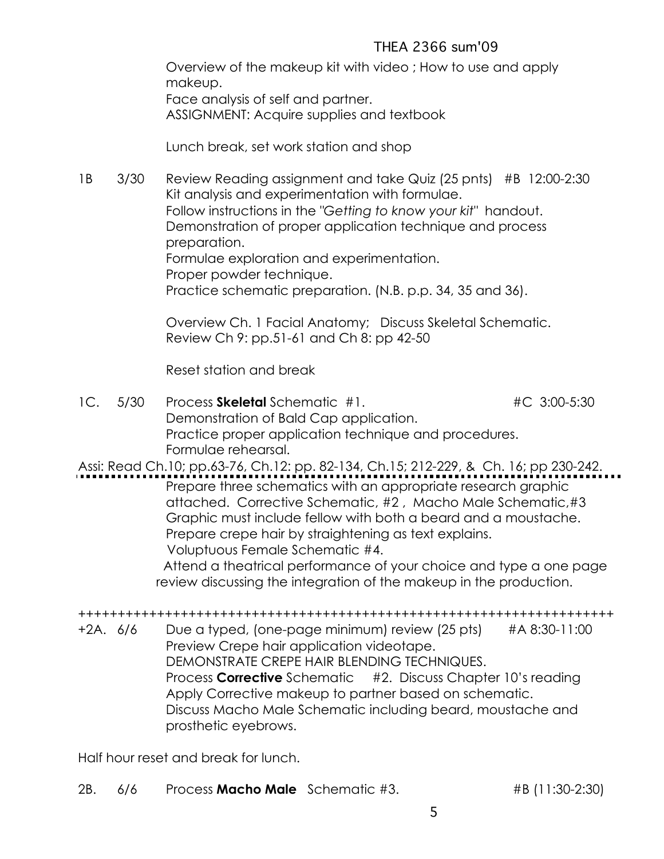Overview of the makeup kit with video ; How to use and apply makeup. Face analysis of self and partner. ASSIGNMENT: Acquire supplies and textbook

Lunch break, set work station and shop

1B 3/30 Review Reading assignment and take Quiz (25 pnts) #B 12:00-2:30 Kit analysis and experimentation with formulae. Follow instructions in the *"Getting to know your kit"* handout. Demonstration of proper application technique and process preparation. Formulae exploration and experimentation. Proper powder technique. Practice schematic preparation. (N.B. p.p. 34, 35 and 36).

> Overview Ch. 1 Facial Anatomy; Discuss Skeletal Schematic. Review Ch 9: pp.51-61 and Ch 8: pp 42-50

Reset station and break

1C. 5/30 Process **Skeletal** Schematic #1. #C 3:00-5:30 Demonstration of Bald Cap application. Practice proper application technique and procedures. Formulae rehearsal.

Assi: Read Ch.10; pp.63-76, Ch.12: pp. 82-134, Ch.15; 212-229, & Ch. 16; pp 230-242. Prepare three schematics with an appropriate research graphic attached. Corrective Schematic, #2 , Macho Male Schematic,#3 Graphic must include fellow with both a beard and a moustache. Prepare crepe hair by straightening as text explains. Voluptuous Female Schematic #4. Attend a theatrical performance of your choice and type a one page review discussing the integration of the makeup in the production.

++++++++++++++++++++++++++++++++++++++++++++++++++++++++++++++++++++ +2A. 6/6 Due a typed, (one-page minimum) review (25 pts) #A 8:30-11:00 Preview Crepe hair application videotape. DEMONSTRATE CREPE HAIR BLENDING TECHNIQUES. Process **Corrective** Schematic #2. Discuss Chapter 10's reading Apply Corrective makeup to partner based on schematic. Discuss Macho Male Schematic including beard, moustache and prosthetic eyebrows.

Half hour reset and break for lunch.

2B. 6/6 Process **Macho Male** Schematic #3. #B (11:30-2:30)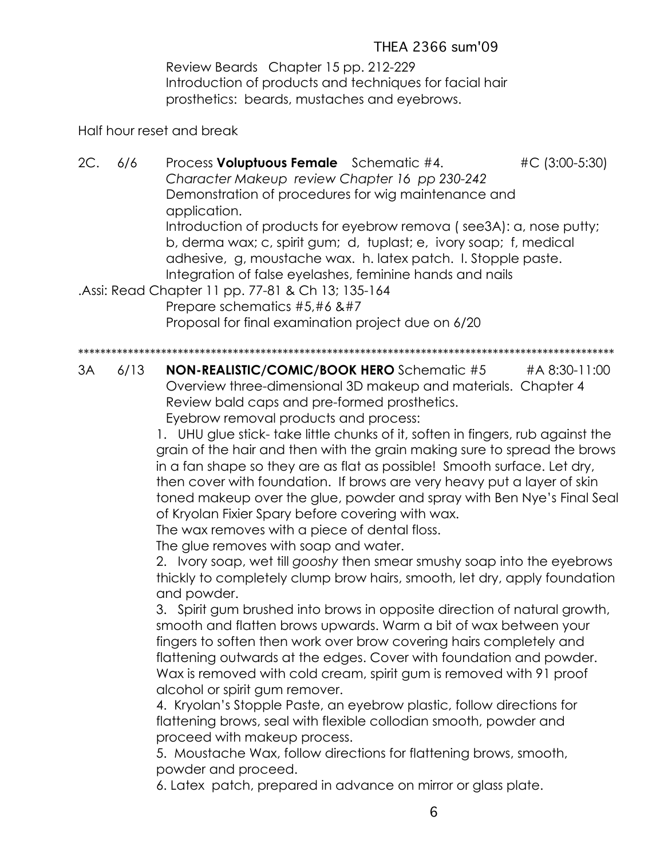Review Beards Chapter 15 pp. 212-229 Introduction of products and techniques for facial hair prosthetics: beards, mustaches and eyebrows.

Half hour reset and break

2C. 6/6 Process **Voluptuous Female** Schematic #4. #C (3:00-5:30) *Character Makeup review Chapter 16 pp 230-242* Demonstration of procedures for wig maintenance and application. Introduction of products for eyebrow remova ( see3A): a, nose putty; b, derma wax; c, spirit gum; d, tuplast; e, ivory soap; f, medical adhesive, g, moustache wax. h. latex patch. I. Stopple paste. Integration of false eyelashes, feminine hands and nails .Assi: Read Chapter 11 pp. 77-81 & Ch 13; 135-164 Prepare schematics #5,#6 &#7 Proposal for final examination project due on 6/20 \*\*\*\*\*\*\*\*\*\*\*\*\*\*\*\*\*\*\*\*\*\*\*\*\*\*\*\*\*\*\*\*\*\*\*\*\*\*\*\*\*\*\*\*\*\*\*\*\*\*\*\*\*\*\*\*\*\*\*\*\*\*\*\*\*\*\*\*\*\*\*\*\*\*\*\*\*\*\*\*\*\*\*\*\*\*\*\*\*\*\*\*\*\*\*\*\*

3A 6/13 **NON-REALISTIC/COMIC/BOOK HERO** Schematic #5 #A 8:30-11:00 Overview three-dimensional 3D makeup and materials. Chapter 4 Review bald caps and pre-formed prosthetics. Eyebrow removal products and process:

> 1. UHU glue stick- take little chunks of it, soften in fingers, rub against the grain of the hair and then with the grain making sure to spread the brows in a fan shape so they are as flat as possible! Smooth surface. Let dry, then cover with foundation. If brows are very heavy put a layer of skin toned makeup over the glue, powder and spray with Ben Nye's Final Seal of Kryolan Fixier Spary before covering with wax.

The wax removes with a piece of dental floss.

The glue removes with soap and water.

2. Ivory soap, wet till *gooshy* then smear smushy soap into the eyebrows thickly to completely clump brow hairs, smooth, let dry, apply foundation and powder.

3. Spirit gum brushed into brows in opposite direction of natural growth, smooth and flatten brows upwards. Warm a bit of wax between your fingers to soften then work over brow covering hairs completely and flattening outwards at the edges. Cover with foundation and powder. Wax is removed with cold cream, spirit gum is removed with 91 proof alcohol or spirit gum remover.

4. Kryolan's Stopple Paste, an eyebrow plastic, follow directions for flattening brows, seal with flexible collodian smooth, powder and proceed with makeup process.

5. Moustache Wax, follow directions for flattening brows, smooth, powder and proceed.

6. Latex patch, prepared in advance on mirror or glass plate.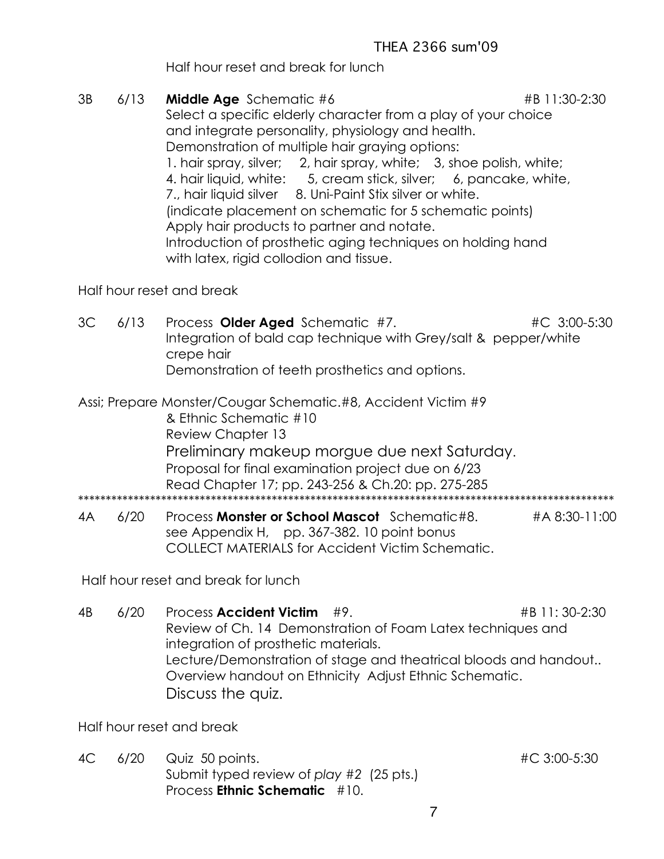Half hour reset and break for lunch

3B 6/13 **Middle Age** Schematic #6 **#B 11:30-2:30** Select a specific elderly character from a play of your choice and integrate personality, physiology and health. Demonstration of multiple hair graying options: 1. hair spray, silver; 2, hair spray, white; 3, shoe polish, white; 4. hair liquid, white: 5, cream stick, silver; 6, pancake, white, 7., hair liquid silver 8. Uni-Paint Stix silver or white. (indicate placement on schematic for 5 schematic points) Apply hair products to partner and notate. Introduction of prosthetic aging techniques on holding hand with latex, rigid collodion and tissue.

### Half hour reset and break

- 3C 6/13 Process **Older Aged** Schematic #7. #C 3:00-5:30 Integration of bald cap technique with Grey/salt & pepper/white crepe hair Demonstration of teeth prosthetics and options.
- Assi; Prepare Monster/Cougar Schematic.#8, Accident Victim #9 & Ethnic Schematic #10 Review Chapter 13 Preliminary makeup morgue due next Saturday. Proposal for final examination project due on 6/23 Read Chapter 17; pp. 243-256 & Ch.20: pp. 275-285 \*\*\*\*\*\*\*\*\*\*\*\*\*\*\*\*\*\*\*\*\*\*\*\*\*\*\*\*\*\*\*\*\*\*\*\*\*\*\*\*\*\*\*\*\*\*\*\*\*\*\*\*\*\*\*\*\*\*\*\*\*\*\*\*\*\*\*\*\*\*\*\*\*\*\*\*\*\*\*\*\*\*\*\*\*\*\*\*\*\*\*\*\*\*\*\*\*
- 4A 6/20 Process **Monster or School Mascot** Schematic#8. #A 8:30-11:00 see Appendix H, pp. 367-382. 10 point bonus COLLECT MATERIALS for Accident Victim Schematic.

Half hour reset and break for lunch

4B 6/20 Process **Accident Victim** #9. #B 11: 30-2:30 Review of Ch. 14 Demonstration of Foam Latex techniques and integration of prosthetic materials. Lecture/Demonstration of stage and theatrical bloods and handout.. Overview handout on Ethnicity Adjust Ethnic Schematic. Discuss the quiz.

Half hour reset and break

4C 6/20 Quiz 50 points. #C 3:00-5:30 Submit typed review of *play #2* (25 pts.) Process **Ethnic Schematic** #10.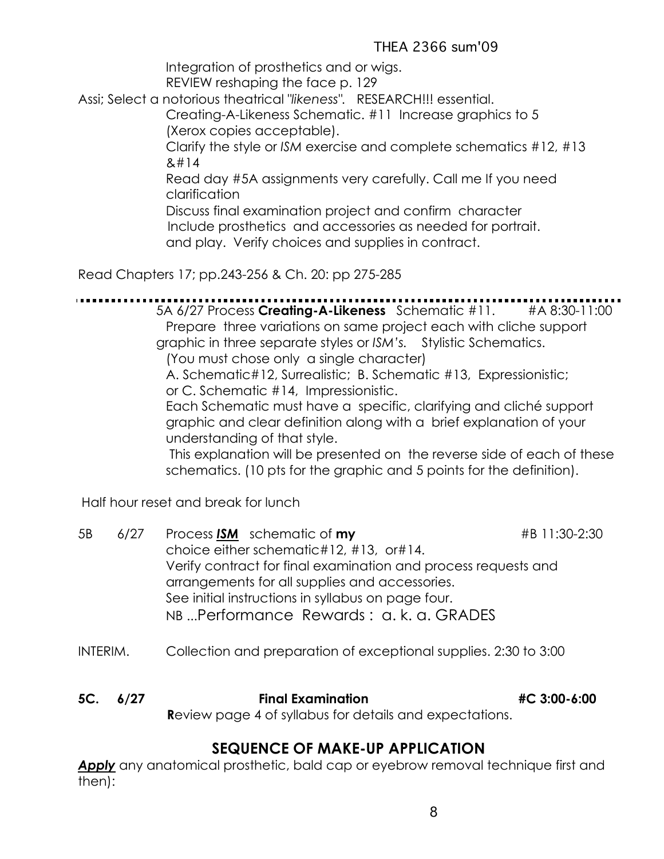Integration of prosthetics and or wigs.

REVIEW reshaping the face p. 129

Assi; Select a notorious theatrical "*likeness".* RESEARCH!!! essential.

Creating-A-Likeness Schematic. #11 Increase graphics to 5 (Xerox copies acceptable).

Clarify the style or *ISM* exercise and complete schematics #12, #13  $8#14$ 

Read day #5A assignments very carefully. Call me If you need clarification

Discuss final examination project and confirm character Include prosthetics and accessories as needed for portrait. and play. Verify choices and supplies in contract.

Read Chapters 17; pp.243-256 & Ch. 20: pp 275-285

5A 6/27 Process **Creating-A-Likeness** Schematic #11. #A 8:30-11:00 Prepare three variations on same project each with cliche support graphic in three separate styles or *ISM's.* Stylistic Schematics. (You must chose only a single character) A. Schematic#12, Surrealistic; B. Schematic #13, Expressionistic; or C. Schematic #14, Impressionistic. Each Schematic must have a specific, clarifying and cliché support graphic and clear definition along with a brief explanation of your understanding of that style. This explanation will be presented on the reverse side of each of these schematics. (10 pts for the graphic and 5 points for the definition).

Half hour reset and break for lunch

| 5B | 6/27 | Process ISM schematic of my                                    | #B 11:30-2:30 |
|----|------|----------------------------------------------------------------|---------------|
|    |      | choice either schematic#12, #13, or#14.                        |               |
|    |      | Verify contract for final examination and process requests and |               |
|    |      | arrangements for all supplies and accessories.                 |               |
|    |      | See initial instructions in syllabus on page four.             |               |
|    |      | NB Performance Rewards: a. k. a. GRADES                        |               |
|    |      |                                                                |               |

- INTERIM. Collection and preparation of exceptional supplies. 2:30 to 3:00
- **5C. 6/27 Final Examination #C 3:00-6:00 R**eview page 4 of syllabus for details and expectations.

# **SEQUENCE OF MAKE-UP APPLICATION**

**Apply** any anatomical prosthetic, bald cap or eyebrow removal technique first and then):